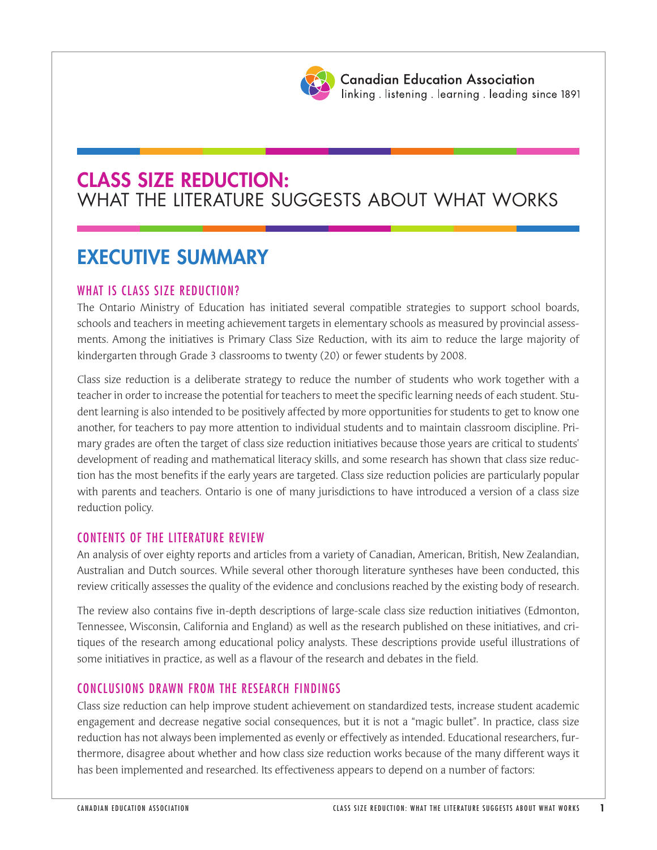

# **CLASS SIZE REDUCTION:** WHAT THE LITERATURE SUGGESTS ABOUT WHAT WORKS

# **EXECUTIVE SUMMARY**

## WHAT IS CLASS SIZE REDUCTION?

The Ontario Ministry of Education has initiated several compatible strategies to support school boards, schools and teachers in meeting achievement targets in elementary schools as measured by provincial assessments. Among the initiatives is Primary Class Size Reduction, with its aim to reduce the large majority of kindergarten through Grade 3 classrooms to twenty (20) or fewer students by 2008.

Class size reduction is a deliberate strategy to reduce the number of students who work together with a teacher in order to increase the potential for teachers to meet the specific learning needs of each student. Student learning is also intended to be positively affected by more opportunities for students to get to know one another, for teachers to pay more attention to individual students and to maintain classroom discipline. Primary grades are often the target of class size reduction initiatives because those years are critical to students' development of reading and mathematical literacy skills, and some research has shown that class size reduction has the most benefits if the early years are targeted. Class size reduction policies are particularly popular with parents and teachers. Ontario is one of many jurisdictions to have introduced a version of a class size reduction policy.

### CONTENTS OF THE LITERATURE REVIEW

An analysis of over eighty reports and articles from a variety of Canadian, American, British, New Zealandian, Australian and Dutch sources. While several other thorough literature syntheses have been conducted, this review critically assesses the quality of the evidence and conclusions reached by the existing body of research.

The review also contains five in-depth descriptions of large-scale class size reduction initiatives (Edmonton, Tennessee, Wisconsin, California and England) as well as the research published on these initiatives, and critiques of the research among educational policy analysts. These descriptions provide useful illustrations of some initiatives in practice, as well as a flavour of the research and debates in the field.

### CONCLUSIONS DRAWN FROM THE RESEARCH FINDINGS

Class size reduction can help improve student achievement on standardized tests, increase student academic engagement and decrease negative social consequences, but it is not a "magic bullet". In practice, class size reduction has not always been implemented as evenly or effectively as intended. Educational researchers, furthermore, disagree about whether and how class size reduction works because of the many different ways it has been implemented and researched. Its effectiveness appears to depend on a number of factors: